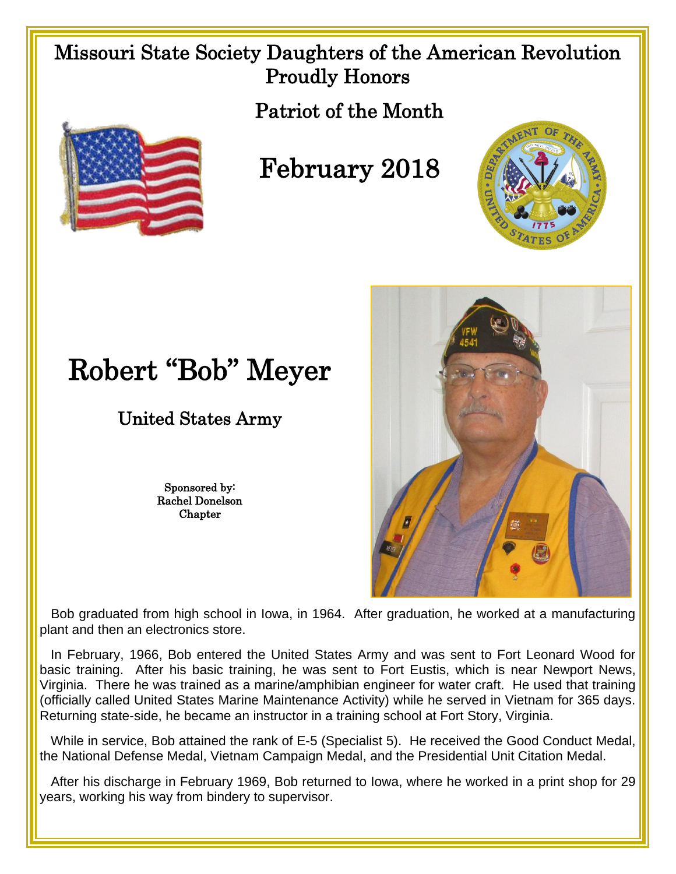## Missouri State Society Daughters of the American Revolution Proudly Honors

Patriot of the Month



## February 2018



## Robert "Bob" Meyer

## United States Army

Sponsored by: Rachel Donelson Chapter



 Bob graduated from high school in Iowa, in 1964. After graduation, he worked at a manufacturing plant and then an electronics store.

 In February, 1966, Bob entered the United States Army and was sent to Fort Leonard Wood for basic training. After his basic training, he was sent to Fort Eustis, which is near Newport News, Virginia. There he was trained as a marine/amphibian engineer for water craft. He used that training (officially called United States Marine Maintenance Activity) while he served in Vietnam for 365 days. Returning state-side, he became an instructor in a training school at Fort Story, Virginia.

 While in service, Bob attained the rank of E-5 (Specialist 5). He received the Good Conduct Medal, the National Defense Medal, Vietnam Campaign Medal, and the Presidential Unit Citation Medal.

After his discharge in February 1969, Bob returned to Iowa, where he worked in a print shop for 29 years, working his way from bindery to supervisor.